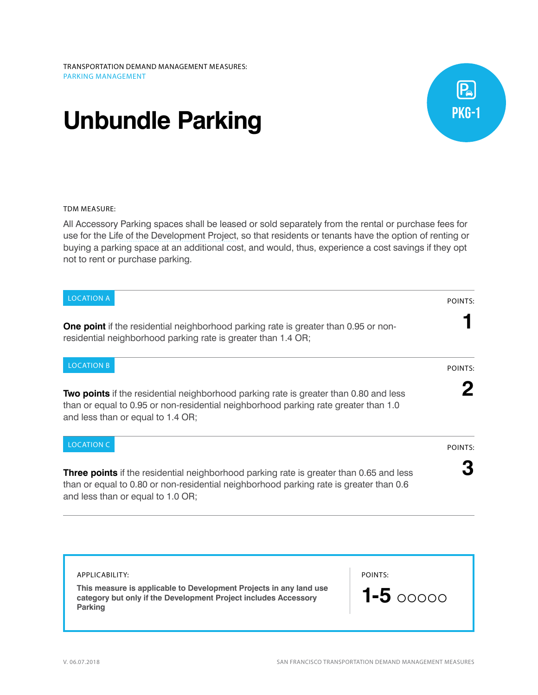## **Unbundle Parking**



## TDM MEASURE:

All Accessory Parking spaces shall be leased or sold separately from the rental or purchase fees for use for the [Life of the Development Project](http://library.amlegal.com/nxt/gateway.dll/California/planning/article4developmentimpactfeesandprojectr?f=templates$fn=default.htm$3.0$vid=amlegal:sanfrancisco_ca$anc=JD_Article4), so that residents or tenants have the option of renting or buying a parking space at an additional cost, and would, thus, experience a cost savings if they opt not to rent or purchase parking.

| <b>LOCATION A</b>                                                                                                                                                                                                             | POINTS: |
|-------------------------------------------------------------------------------------------------------------------------------------------------------------------------------------------------------------------------------|---------|
| <b>One point</b> if the residential neighborhood parking rate is greater than 0.95 or non-<br>residential neighborhood parking rate is greater than 1.4 OR;                                                                   |         |
| <b>LOCATION B</b>                                                                                                                                                                                                             | POINTS: |
| <b>Two points</b> if the residential neighborhood parking rate is greater than 0.80 and less<br>than or equal to 0.95 or non-residential neighborhood parking rate greater than 1.0<br>and less than or equal to 1.4 OR;      |         |
| <b>LOCATION C</b>                                                                                                                                                                                                             | POINTS: |
| <b>Three points</b> if the residential neighborhood parking rate is greater than 0.65 and less<br>than or equal to 0.80 or non-residential neighborhood parking rate is greater than 0.6<br>and less than or equal to 1.0 OR; |         |
|                                                                                                                                                                                                                               |         |